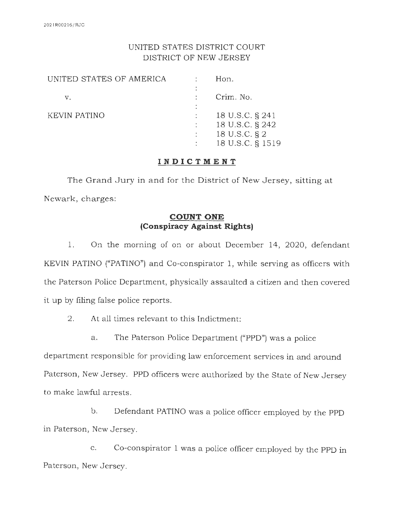## UNITED STATES DISTRICT COURT DISTRICT OF NEW JERSEY

|   | Hon.                             |
|---|----------------------------------|
|   | Crim. No.                        |
| ٠ |                                  |
|   | 18 U.S.C. § 241                  |
|   | 18 U.S.C. § 242<br>18 U.S.C. § 2 |
|   | 18 U.S.C. § 1519                 |
|   | $\frac{1}{2}$ , $\frac{1}{2}$    |

### **INDICTMENT**

The Grand Jury in and for the District of New Jersey, sitting at Newark, charges:

## **COUNT ONE (Conspiracy Against Rights)**

1. On the morning of on or about December 14, 2020, defendant KEVIN PATINO ("PATINO") and Co-conspirator 1, while serving as officers with the Paterson Police Department, physically assaulted a citizen and then covered it up by filing false police reports.

2. At all times relevant to this Indictment:

a. The Paterson Police Department ("PPD") was a police

department responsible for providing law enforcement services in and around Paterson, New Jersey. PPD officers were authorized by the State of New Jersey to make lawful arrests.

b. Defendant PATINO was a police officer employed by the PPD in Paterson, New Jersey.

c. Co-conspirator 1 was a police officer employed by the PPD in Paterson, New Jersey.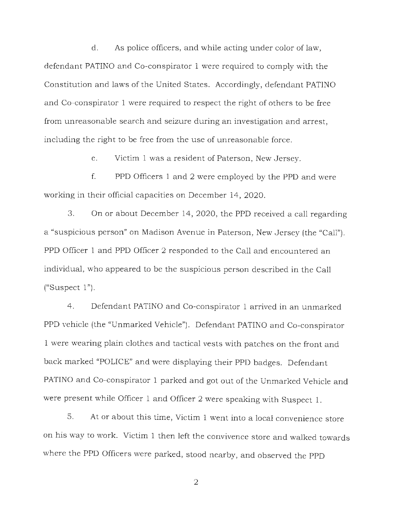d. As police officers, and while acting under color of law, defendant PATINO and Co-conspirator 1 were required to comply with the Constitution and laws of the United States. Accordingly, defendant PATINO and Co-conspirator 1 were required to respect the right of others to be free from unreasonable search and seizure during an investigation and arrest, including the right to be free from the use of unreasonable force.

e. Victim 1 was a resident of Paterson, New Jersey.

f. PPD Officers 1 and 2 were employed by the PPD and were working in their official capacities on December 14, 2020.

3. On or about December 14, 2020, the PPD received a call regarding a "suspicious person" on Madison Avenue in Paterson, New Jersey (the "Call"). PPD Officer 1 and PPD Officer 2 responded to the Call and encountered an individual, who appeared to be the suspicious person described in the Call  $("Suspect 1").$ 

4. Defendant PATINO and Co-conspirator 1 arrived in an unmarked PPD vehicle (the "Unmarked Vehicle"). Defendant PATINO and Co-conspirator 1 were wearing plain clothes and tactical vests with patches on the front and back marked "POLICE" and were displaying their PPD badges. Defendant PATINO and Co-conspirator 1 parked and got out of the Unmarked Vehicle and were present while Officer 1 and Officer 2 were speaking with Suspect 1.

5. At or about this time, Victim 1 went into a local convenience store on his way to work. Victim 1 then left the convivence store and walked towards where the PPD Officers were parked, stood nearby, and observed the PPD

2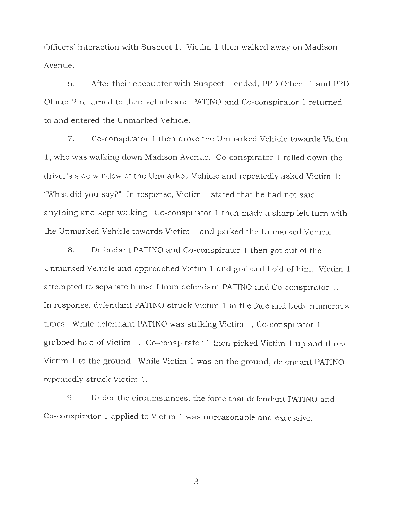Officers' interaction with Suspect 1. Victim 1 then walked away on Madison Avenue.

6. After their encounter with Suspect 1 ended, PPD Officer 1 and PPD Officer 2 returned to their vehicle and PATINO and Co-conspirator 1 returned to and entered the Unmarked Vehicle.

7. Co-con spirator 1 then drove the Unmarked Vehicle towards Victim 1, who was walking down Madison Avenue. Co-conspirator 1 rolled down the driver's side window of the Unmarked Vehicle and repeatedly asked Victim 1: "What did you say?" In response, Victim 1 stated that he had not said anything and kept walking. Co-conspirator 1 then made a sharp left turn with the Unmarked Vehicle towards Victim 1 and parked the Unmarked Vehicle.

8. Defendant PATINO and Co-conspirator 1 then got out of the Unmarked Vehicle and approached Victim 1 and grabbed hold of him. Victim 1 attempted to separate himself from defendant PATINO and Co-conspirator 1. In response, defendant PATINO struck Victim 1 in the face and body numerous times. While defendant PATINO was striking Victim 1, Co-conspirator 1 grabbed hold of Victim 1. Co-conspirator 1 then picked Victim 1 up and threw Victim 1 to the ground. While Victim 1 was on the ground, defendant PATINO repeatedly struck Victim 1.

9. Under the circumstances, the force that defendant PATINO and Co-conspirator 1 applied to Victim 1 was unreasonable and excessive.

3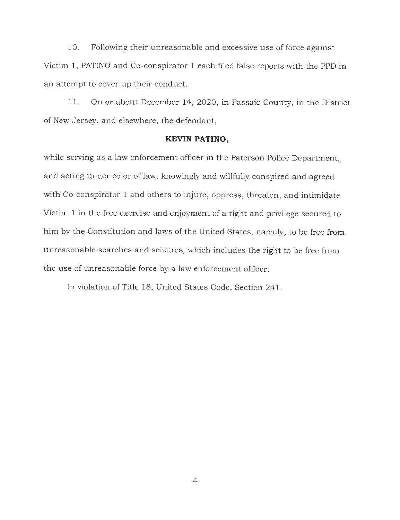10. Following their unreasonable and excessive use of force against Victim 1, PATINO and Co-conspirator 1 each filed false reports with the PPD in an attempt to cover up their conduct.

11. On or about December 14, 2020, in Passaic County, in the District of New Jersey, and elsewhere, the defendant,

#### **KEVIN PATINO,**

while serving as a law enforcement officer in the Paterson Police Department, and acting under color of law, knowingly and willfully conspired and agreed with Co-conspirator 1 and others to injure, oppress, threaten, and intimidate Victim 1 in the free exercise and enjoyment of a right and privilege secured to him by the Constitution and laws of the United States, namely, to be free from unreasonable searches and seizures, which includes the right to be free from the use of unreasonable force by a law enforcement officer.

In violation of Title 18, United States Code, Section 241.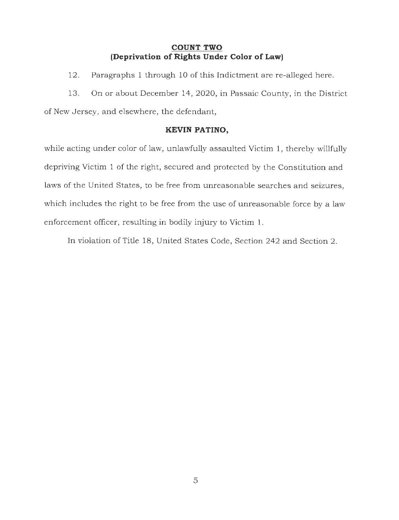#### **COUNT TWO (Deprivation of Rights Under Color of Law)**

12. Paragraphs 1 through 10 of this Indictment are re-alleged here.

13. On or about December 14, 2020, in Passaic County, in the District of New Jersey, and elsewhere, the defendant,

#### **KEVIN PATINO,**

while acting under color of law, unlawfully assaulted Victim 1, thereby willfully depriving Victim 1 of the right, secured and protected by the Constitution and laws of the United States, to be free from unreasonable searches and seizures, which includes the right to be free from the use of unreasonable force by a law enforcement officer, resulting in bodily injury to Victim 1.

In violation of Title 18, United States Code, Section 242 and Section 2.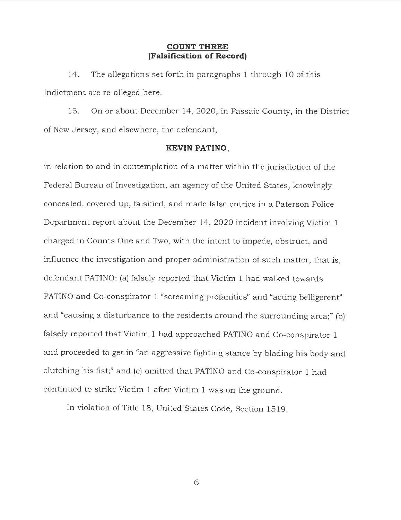#### **COUNT THREE (Falsification of Record)**

14. The allegations set forth in paragraphs 1 through 10 of this Indictment are re-alleged here.

15. On or about December 14 , 2020, in Passaic County, in the District of New Jersey, and elsewhere, the defendant,

#### **KEVIN PATINO,**

in relation to and in contemplation of a matter within the jurisdiction of the Federal Bureau of Investigation, an agency of the United States, knowingly concealed, covered up, falsified, and made false entries in a Paterson Police Department report about the December 14, 2020 incident involving Victim 1 charged in Counts One and Two, with the intent to impede, obstruct, and influence the investigation and proper administration of such matter; that is, defendant PATINO: (a) falsely reported that Victim 1 had walked towards PATINO and Co-conspirator 1 "screaming profanities" and "acting belligerent" and "causing a disturbance to the residents around the surrounding area;" (b) falsely reported that Victim 1 had approached PATINO and Co-conspirator 1 and proceeded to get in "an aggressive fighting stance by blading his body and clutching his fist;" and (c) omitted that PATINO and Co-conspirator 1 had continued to strike Victim 1 after Victim 1 was on the ground.

In violation of Title 18, United States Code, Section 1519.

6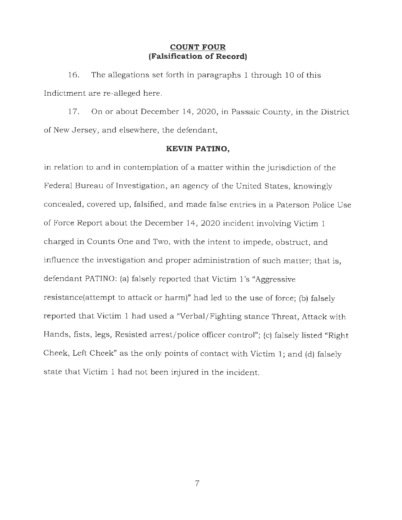#### **COUNT FOUR (Falsification of Record)**

16. The allegations set forth in paragraphs 1 through 10 of this Indictment are re-alleged here.

17. On or about December 14, 2020, in Passaic County, in the District of New Jersey, and elsewhere, the defendant,

#### **KEVIN PATINO,**

in relation to and in contemplation of a matter within the jurisdiction of the Federal Bureau of Investigation, an agency of the United States, knowingly concealed, covered up, falsified, and made false entries in a Paterson Police Use of Force Report about the December 14, 2020 incident involving Victim 1 charged in Counts One and Two, with the intent to impede, obstruct, and influence the investigation and proper administration of such matter; that is, defendant PATINO: (a) falsely reported that Victim 1's "Aggressive resistance(attempt to attack or harm)" had led to the use of force; (b) falsely reported that Victim 1 had used a "Verbal/Fighting stance Threat, Attack with Hands, fists, legs, Resisted arrest/police officer control"; (c) falsely listed "Right Cheek, Left Cheek" as the only points of contact with Victim 1; and (d) falsely state that Victim 1 had not been injured in the incident.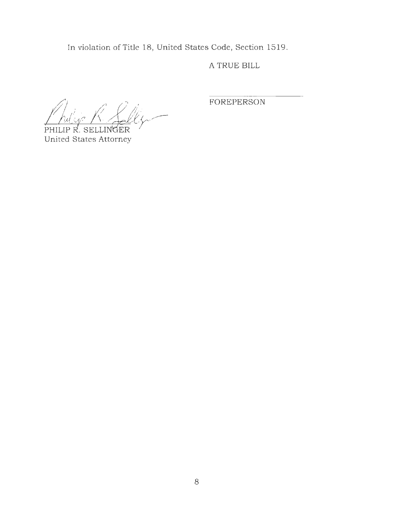In violation of Title 18, United States Code, Section 1519.

A TRUE BILL

PHILIP R. SELLINGER

United States Attorney

FOREPERSON